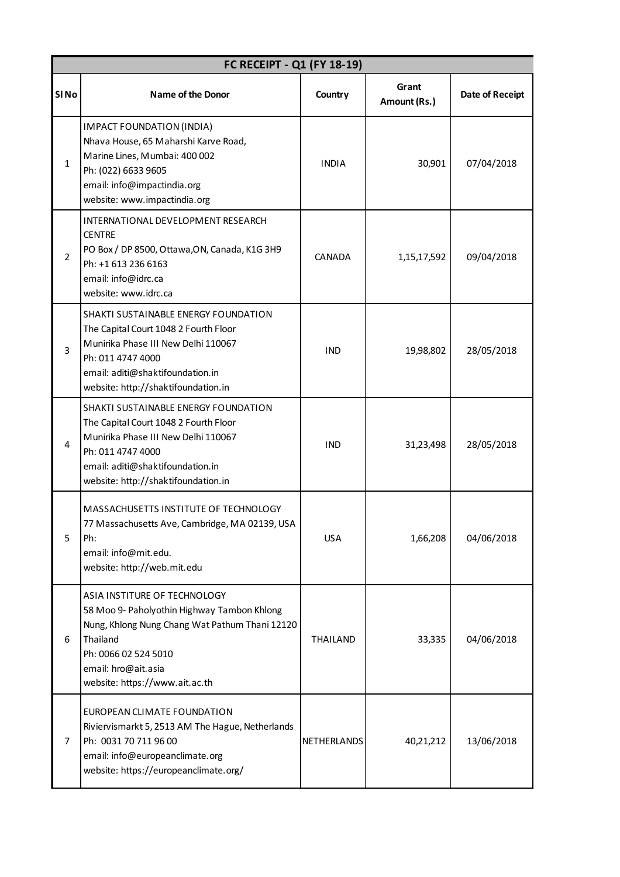|                  | FC RECEIPT - Q1 (FY 18-19)                                                                                                                                                                                                 |                 |                       |                        |  |  |  |
|------------------|----------------------------------------------------------------------------------------------------------------------------------------------------------------------------------------------------------------------------|-----------------|-----------------------|------------------------|--|--|--|
| SIN <sub>o</sub> | <b>Name of the Donor</b>                                                                                                                                                                                                   | Country         | Grant<br>Amount (Rs.) | <b>Date of Receipt</b> |  |  |  |
| $\mathbf{1}$     | <b>IMPACT FOUNDATION (INDIA)</b><br>Nhava House, 65 Maharshi Karve Road,<br>Marine Lines, Mumbai: 400 002<br>Ph: (022) 6633 9605<br>email: info@impactindia.org<br>website: www.impactindia.org                            | <b>INDIA</b>    | 30,901                | 07/04/2018             |  |  |  |
| $\overline{2}$   | INTERNATIONAL DEVELOPMENT RESEARCH<br><b>CENTRE</b><br>PO Box / DP 8500, Ottawa, ON, Canada, K1G 3H9<br>Ph: +1 613 236 6163<br>email: info@idrc.ca<br>website: www.idrc.ca                                                 | CANADA          | 1,15,17,592           | 09/04/2018             |  |  |  |
| 3                | SHAKTI SUSTAINABLE ENERGY FOUNDATION<br>The Capital Court 1048 2 Fourth Floor<br>Munirika Phase III New Delhi 110067<br>Ph: 011 4747 4000<br>email: aditi@shaktifoundation.in<br>website: http://shaktifoundation.in       | <b>IND</b>      | 19,98,802             | 28/05/2018             |  |  |  |
| 4                | SHAKTI SUSTAINABLE ENERGY FOUNDATION<br>The Capital Court 1048 2 Fourth Floor<br>Munirika Phase III New Delhi 110067<br>Ph: 011 4747 4000<br>email: aditi@shaktifoundation.in<br>website: http://shaktifoundation.in       | <b>IND</b>      | 31,23,498             | 28/05/2018             |  |  |  |
| 5                | MASSACHUSETTS INSTITUTE OF TECHNOLOGY<br>77 Massachusetts Ave, Cambridge, MA 02139, USA<br>Ph:<br>email: info@mit.edu.<br>website: http://web.mit.edu                                                                      | <b>USA</b>      | 1,66,208              | 04/06/2018             |  |  |  |
| 6                | ASIA INSTITURE OF TECHNOLOGY<br>58 Moo 9- Paholyothin Highway Tambon Khlong<br>Nung, Khlong Nung Chang Wat Pathum Thani 12120<br>Thailand<br>Ph: 0066 02 524 5010<br>email: hro@ait.asia<br>website: https://www.ait.ac.th | <b>THAILAND</b> | 33,335                | 04/06/2018             |  |  |  |
| $\overline{7}$   | EUROPEAN CLIMATE FOUNDATION<br>Riviervismarkt 5, 2513 AM The Hague, Netherlands<br>Ph: 0031 70 711 96 00<br>email: info@europeanclimate.org<br>website: https://europeanclimate.org/                                       | NETHERLANDS     | 40,21,212             | 13/06/2018             |  |  |  |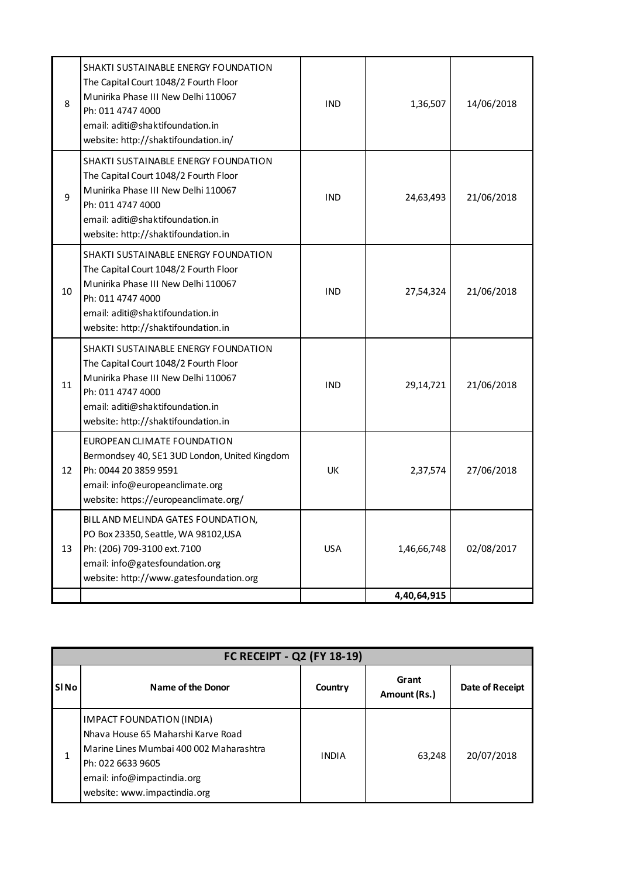| 8  | SHAKTI SUSTAINABLE ENERGY FOUNDATION<br>The Capital Court 1048/2 Fourth Floor<br>Munirika Phase III New Delhi 110067<br>Ph: 011 4747 4000<br>email: aditi@shaktifoundation.in<br>website: http://shaktifoundation.in/ | <b>IND</b> | 1,36,507    | 14/06/2018 |
|----|-----------------------------------------------------------------------------------------------------------------------------------------------------------------------------------------------------------------------|------------|-------------|------------|
| 9  | SHAKTI SUSTAINABLE ENERGY FOUNDATION<br>The Capital Court 1048/2 Fourth Floor<br>Munirika Phase III New Delhi 110067<br>Ph: 011 4747 4000<br>email: aditi@shaktifoundation.in<br>website: http://shaktifoundation.in  | <b>IND</b> | 24,63,493   | 21/06/2018 |
| 10 | SHAKTI SUSTAINABLE ENERGY FOUNDATION<br>The Capital Court 1048/2 Fourth Floor<br>Munirika Phase III New Delhi 110067<br>Ph: 011 4747 4000<br>email: aditi@shaktifoundation.in<br>website: http://shaktifoundation.in  | <b>IND</b> | 27,54,324   | 21/06/2018 |
| 11 | SHAKTI SUSTAINABLE ENERGY FOUNDATION<br>The Capital Court 1048/2 Fourth Floor<br>Munirika Phase III New Delhi 110067<br>Ph: 011 4747 4000<br>email: aditi@shaktifoundation.in<br>website: http://shaktifoundation.in  | <b>IND</b> | 29,14,721   | 21/06/2018 |
| 12 | EUROPEAN CLIMATE FOUNDATION<br>Bermondsey 40, SE1 3UD London, United Kingdom<br>Ph: 0044 20 3859 9591<br>email: info@europeanclimate.org<br>website: https://europeanclimate.org/                                     | <b>UK</b>  | 2,37,574    | 27/06/2018 |
| 13 | BILL AND MELINDA GATES FOUNDATION,<br>PO Box 23350, Seattle, WA 98102, USA<br>Ph: (206) 709-3100 ext. 7100<br>email: info@gatesfoundation.org<br>website: http://www.gatesfoundation.org                              | <b>USA</b> | 1,46,66,748 | 02/08/2017 |
|    |                                                                                                                                                                                                                       |            | 4,40,64,915 |            |

| FC RECEIPT - Q2 (FY 18-19) |                                                                                                                                                                                                |              |                       |                 |  |
|----------------------------|------------------------------------------------------------------------------------------------------------------------------------------------------------------------------------------------|--------------|-----------------------|-----------------|--|
| <b>SINO</b>                | Name of the Donor                                                                                                                                                                              | Country      | Grant<br>Amount (Rs.) | Date of Receipt |  |
| 1                          | IMPACT FOUNDATION (INDIA)<br>Nhava House 65 Maharshi Karve Road<br>Marine Lines Mumbai 400 002 Maharashtra<br>Ph: 022 6633 9605<br>email: info@impactindia.org<br>website: www.impactindia.org | <b>INDIA</b> | 63,248                | 20/07/2018      |  |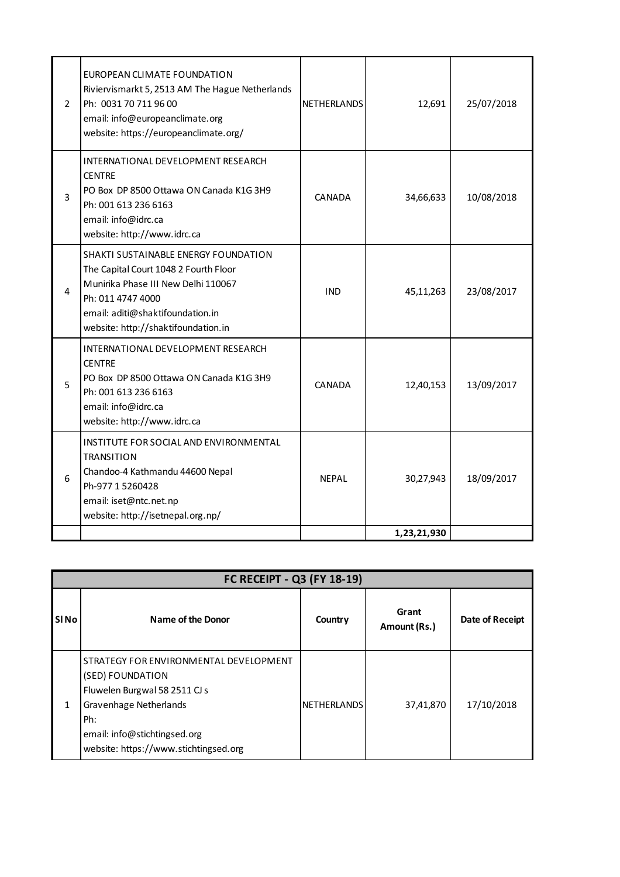| 2              | EUROPEAN CLIMATE FOUNDATION<br>Riviervismarkt 5, 2513 AM The Hague Netherlands<br>Ph: 0031 70 711 96 00<br>email: info@europeanclimate.org<br>website: https://europeanclimate.org/                                  | <b>NETHERLANDS</b> | 12,691      | 25/07/2018 |
|----------------|----------------------------------------------------------------------------------------------------------------------------------------------------------------------------------------------------------------------|--------------------|-------------|------------|
| $\overline{3}$ | INTERNATIONAL DEVELOPMENT RESEARCH<br><b>CENTRE</b><br>PO Box DP 8500 Ottawa ON Canada K1G 3H9<br>Ph: 001 613 236 6163<br>email: info@idrc.ca<br>website: http://www.idrc.ca                                         | <b>CANADA</b>      | 34,66,633   | 10/08/2018 |
| 4              | SHAKTI SUSTAINABLE ENERGY FOUNDATION<br>The Capital Court 1048 2 Fourth Floor<br>Munirika Phase III New Delhi 110067<br>Ph: 011 4747 4000<br>email: aditi@shaktifoundation.in<br>website: http://shaktifoundation.in | <b>IND</b>         | 45,11,263   | 23/08/2017 |
| 5              | INTERNATIONAL DEVELOPMENT RESEARCH<br><b>CENTRE</b><br>PO Box DP 8500 Ottawa ON Canada K1G 3H9<br>Ph: 001 613 236 6163<br>email: info@idrc.ca<br>website: http://www.idrc.ca                                         | CANADA             | 12,40,153   | 13/09/2017 |
| 6              | INSTITUTE FOR SOCIAL AND ENVIRONMENTAL<br><b>TRANSITION</b><br>Chandoo-4 Kathmandu 44600 Nepal<br>Ph-977 1 5260428<br>email: iset@ntc.net.np<br>website: http://isetnepal.org.np/                                    | <b>NEPAL</b>       | 30,27,943   | 18/09/2017 |
|                |                                                                                                                                                                                                                      |                    | 1,23,21,930 |            |

|                  | FC RECEIPT - Q3 (FY 18-19)                                                                                                                                                                            |                    |                       |                 |  |  |  |
|------------------|-------------------------------------------------------------------------------------------------------------------------------------------------------------------------------------------------------|--------------------|-----------------------|-----------------|--|--|--|
| SI <sub>No</sub> | Name of the Donor                                                                                                                                                                                     | Country            | Grant<br>Amount (Rs.) | Date of Receipt |  |  |  |
| 1                | STRATEGY FOR ENVIRONMENTAL DEVELOPMENT<br>(SED) FOUNDATION<br>Fluwelen Burgwal 58 2511 CJ s<br>Gravenhage Netherlands<br>Ph:<br>email: info@stichtingsed.org<br>website: https://www.stichtingsed.org | <b>NETHERLANDS</b> | 37,41,870             | 17/10/2018      |  |  |  |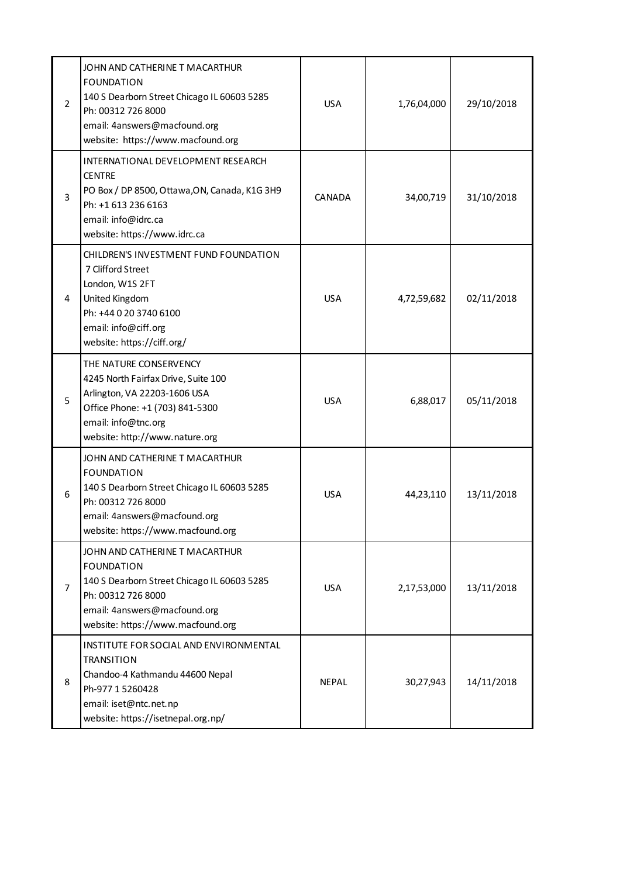| $\overline{2}$ | JOHN AND CATHERINE T MACARTHUR<br><b>FOUNDATION</b><br>140 S Dearborn Street Chicago IL 60603 5285<br>Ph: 00312 726 8000<br>email: 4answers@macfound.org<br>website: https://www.macfound.org | <b>USA</b>   | 1,76,04,000 | 29/10/2018 |
|----------------|-----------------------------------------------------------------------------------------------------------------------------------------------------------------------------------------------|--------------|-------------|------------|
| 3              | INTERNATIONAL DEVELOPMENT RESEARCH<br><b>CENTRE</b><br>PO Box / DP 8500, Ottawa, ON, Canada, K1G 3H9<br>Ph: +1 613 236 6163<br>email: info@idrc.ca<br>website: https://www.idrc.ca            | CANADA       | 34,00,719   | 31/10/2018 |
| 4              | CHILDREN'S INVESTMENT FUND FOUNDATION<br>7 Clifford Street<br>London, W1S 2FT<br>United Kingdom<br>Ph: +44 0 20 3740 6100<br>email: info@ciff.org<br>website: https://ciff.org/               | <b>USA</b>   | 4,72,59,682 | 02/11/2018 |
| 5              | THE NATURE CONSERVENCY<br>4245 North Fairfax Drive, Suite 100<br>Arlington, VA 22203-1606 USA<br>Office Phone: +1 (703) 841-5300<br>email: info@tnc.org<br>website: http://www.nature.org     | <b>USA</b>   | 6,88,017    | 05/11/2018 |
| 6              | JOHN AND CATHERINE T MACARTHUR<br><b>FOUNDATION</b><br>140 S Dearborn Street Chicago IL 60603 5285<br>Ph: 00312 726 8000<br>email: 4answers@macfound.org<br>website: https://www.macfound.org | <b>USA</b>   | 44,23,110   | 13/11/2018 |
| $\overline{7}$ | JOHN AND CATHERINE T MACARTHUR<br><b>FOUNDATION</b><br>140 S Dearborn Street Chicago IL 60603 5285<br>Ph: 00312 726 8000<br>email: 4answers@macfound.org<br>website: https://www.macfound.org | <b>USA</b>   | 2,17,53,000 | 13/11/2018 |
| 8              | INSTITUTE FOR SOCIAL AND ENVIRONMENTAL<br><b>TRANSITION</b><br>Chandoo-4 Kathmandu 44600 Nepal<br>Ph-977 1 5260428<br>email: iset@ntc.net.np<br>website: https://isetnepal.org.np/            | <b>NEPAL</b> | 30,27,943   | 14/11/2018 |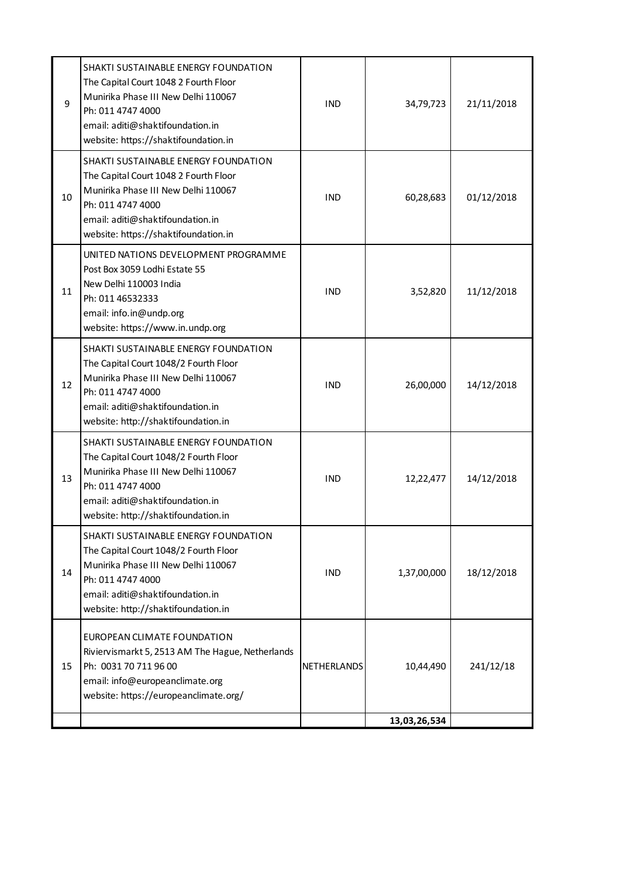| 9  | SHAKTI SUSTAINABLE ENERGY FOUNDATION<br>The Capital Court 1048 2 Fourth Floor<br>Munirika Phase III New Delhi 110067<br>Ph: 011 4747 4000<br>email: aditi@shaktifoundation.in<br>website: https://shaktifoundation.in | <b>IND</b>  | 34,79,723    | 21/11/2018 |
|----|-----------------------------------------------------------------------------------------------------------------------------------------------------------------------------------------------------------------------|-------------|--------------|------------|
| 10 | SHAKTI SUSTAINABLE ENERGY FOUNDATION<br>The Capital Court 1048 2 Fourth Floor<br>Munirika Phase III New Delhi 110067<br>Ph: 011 4747 4000<br>email: aditi@shaktifoundation.in<br>website: https://shaktifoundation.in | <b>IND</b>  | 60,28,683    | 01/12/2018 |
| 11 | UNITED NATIONS DEVELOPMENT PROGRAMME<br>Post Box 3059 Lodhi Estate 55<br>New Delhi 110003 India<br>Ph: 011 46532333<br>email: info.in@undp.org<br>website: https://www.in.undp.org                                    | <b>IND</b>  | 3,52,820     | 11/12/2018 |
| 12 | SHAKTI SUSTAINABLE ENERGY FOUNDATION<br>The Capital Court 1048/2 Fourth Floor<br>Munirika Phase III New Delhi 110067<br>Ph: 011 4747 4000<br>email: aditi@shaktifoundation.in<br>website: http://shaktifoundation.in  | <b>IND</b>  | 26,00,000    | 14/12/2018 |
| 13 | SHAKTI SUSTAINABLE ENERGY FOUNDATION<br>The Capital Court 1048/2 Fourth Floor<br>Munirika Phase III New Delhi 110067<br>Ph: 011 4747 4000<br>email: aditi@shaktifoundation.in<br>website: http://shaktifoundation.in  | <b>IND</b>  | 12,22,477    | 14/12/2018 |
| 14 | SHAKTI SUSTAINABLE ENERGY FOUNDATION<br>The Capital Court 1048/2 Fourth Floor<br>Munirika Phase III New Delhi 110067<br>Ph: 011 4747 4000<br>email: aditi@shaktifoundation.in<br>website: http://shaktifoundation.in  | <b>IND</b>  | 1,37,00,000  | 18/12/2018 |
| 15 | EUROPEAN CLIMATE FOUNDATION<br>Riviervismarkt 5, 2513 AM The Hague, Netherlands<br>Ph: 0031 70 711 96 00<br>email: info@europeanclimate.org<br>website: https://europeanclimate.org/                                  | NETHERLANDS | 10,44,490    | 241/12/18  |
|    |                                                                                                                                                                                                                       |             | 13,03,26,534 |            |